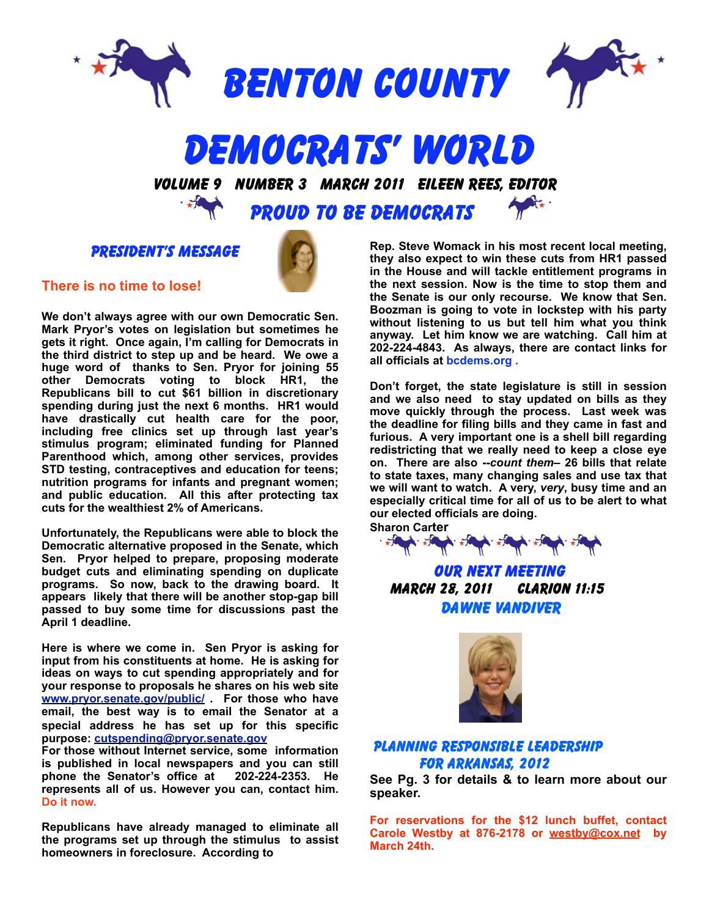



# **DEMOCRATS' WORLD**<br>VOLUME 9 NUMBER 3 MARCH 2011 EILEEN REES, EDITOR

PROUD TO BE DEMOCRATS

PRESIDENT'S MESSAGE



**We don't always agree with our own Democratic Sen. Mark Pryor's votes on legislation but sometimes he gets it right. Once again, I'm calling for Democrats in the third district to step up and be heard. We owe a huge word of thanks to Sen. Pryor for joining 55 other Democrats voting to block HR1, the Republicans bill to cut \$61 billion in discretionary spending during just the next 6 months. HR1 would have drastically cut health care for the poor, including free clinics set up through last year's stimulus program; eliminated funding for Planned Parenthood which, among other services, provides STD testing, contraceptives and education for teens; nutrition programs for infants and pregnant women; and public education. All this after protecting tax cuts for the wealthiest 2% of Americans.** 

**Unfortunately, the Republicans were able to block the Democratic alternative proposed in the Senate, which Sen. Pryor helped to prepare, proposing moderate budget cuts and eliminating spending on duplicate programs. So now, back to the drawing board. It appears likely that there will be another stop-gap bill passed to buy some time for discussions past the April 1 deadline.**

**Here is where we come in. Sen Pryor is asking for input from his constituents at home. He is asking for ideas on ways to cut spending appropriately and for your response to proposals he shares on his web site [www.pryor.senate.gov/public/](http://www.pryor.senate.gov/public/) . For those who have email, the best way is to email the Senator at a special address he has set up for this specific purpose: [cutspending@pryor.senate.gov](mailto:cutspending@pryor.senate.gov)** 

**For those without Internet service, some information is published in local newspapers and you can still phone the Senator's office at 202-224-2353. He represents all of us. However you can, contact him. Do it now.**

**Republicans have already managed to eliminate all the programs set up through the stimulus to assist homeowners in foreclosure. According to** 

**Rep. Steve Womack in his most recent local meeting, they also expect to win these cuts from HR1 passed in the House and will tackle entitlement programs in the next session. Now is the time to stop them and the Senate is our only recourse. We know that Sen. Boozman is going to vote in lockstep with his party without listening to us but tell him what you think anyway. Let him know we are watching. Call him at 202-224-4843. As always, there are contact links for all officials at bcdems.org .**

**Don't forget, the state legislature is still in session and we also need to stay updated on bills as they move quickly through the process. Last week was the deadline for filing bills and they came in fast and furious. A very important one is a shell bill regarding redistricting that we really need to keep a close eye on. There are also --***count them***– 26 bills that relate to state taxes, many changing sales and use tax that we will want to watch. A very,** *very***, busy time and an especially critical time for all of us to be alert to what our elected officials are doing.** 



OUR NEXT MEETING march 28, 2011 Clarion 11:15 Dawne Vandiver



#### Planning Responsible Leadership for Arkansas, 2012

**See Pg. 3 for details & to learn more about our speaker.**

**For reservations for the \$12 lunch buffet, contact Carole Westby at 876-2178 or [westby@cox.net](mailto:westby@cox.net) by March 24th.**